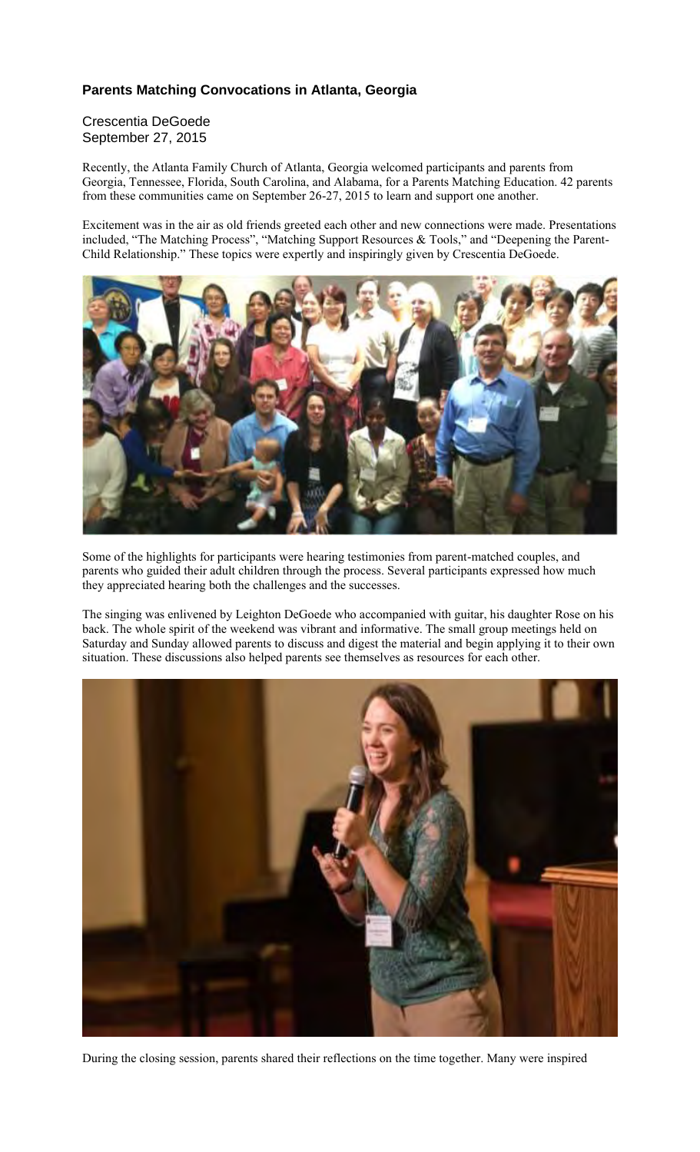## **Parents Matching Convocations in Atlanta, Georgia**

Crescentia DeGoede September 27, 2015

Recently, the Atlanta Family Church of Atlanta, Georgia welcomed participants and parents from Georgia, Tennessee, Florida, South Carolina, and Alabama, for a Parents Matching Education. 42 parents from these communities came on September 26-27, 2015 to learn and support one another.

Excitement was in the air as old friends greeted each other and new connections were made. Presentations included, "The Matching Process", "Matching Support Resources & Tools," and "Deepening the Parent-Child Relationship." These topics were expertly and inspiringly given by Crescentia DeGoede.



Some of the highlights for participants were hearing testimonies from parent-matched couples, and parents who guided their adult children through the process. Several participants expressed how much they appreciated hearing both the challenges and the successes.

The singing was enlivened by Leighton DeGoede who accompanied with guitar, his daughter Rose on his back. The whole spirit of the weekend was vibrant and informative. The small group meetings held on Saturday and Sunday allowed parents to discuss and digest the material and begin applying it to their own situation. These discussions also helped parents see themselves as resources for each other.



During the closing session, parents shared their reflections on the time together. Many were inspired